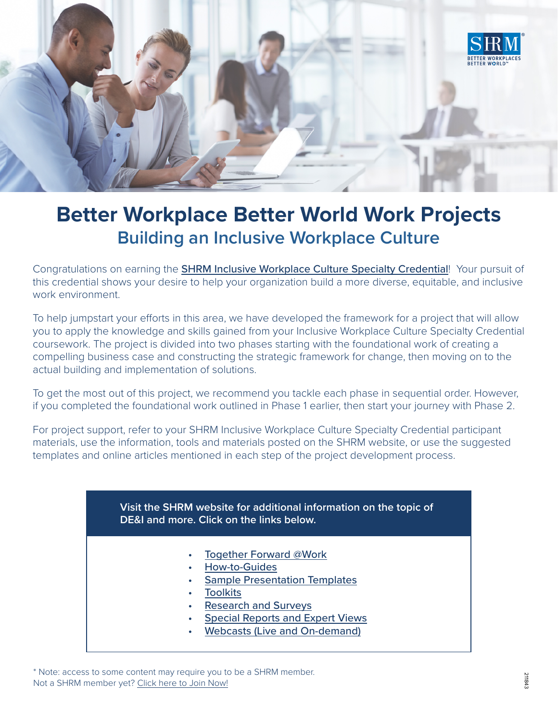

# **Better Workplace Better World Work Projects Building an Inclusive Workplace Culture**

Congratulations on earning the **[SHRM Inclusive Workplace Culture Specialty Credential](https://store.shrm.org/SHRMInclusive-Workplace-Culture-Specialty-Credential?_ga=2.142805173.1881077214.1625326268-328172377.1566838025&_gac=1.263118334.1622753711.Cj0KCQjw--GFBhDeARIsACH_kdYuP7lt3a2CaqSij02fWYnEIadm7_wYSUKVCdOqDAWiazdaZgD5BOEaAmmgEALw_wcB)!** Your pursuit of this credential shows your desire to help your organization build a more diverse, equitable, and inclusive work environment

To help jumpstart your efforts in this area, we have developed the framework for a project that will allow you to apply the knowledge and skills gained from your Inclusive Workplace Culture Specialty Credential coursework. The project is divided into two phases starting with the foundational work of creating a compelling business case and constructing the strategic framework for change, then moving on to the actual building and implementation of solutions.

To get the most out of this project, we recommend you tackle each phase in sequential order. However, if you completed the foundational work outlined in Phase 1 earlier, then start your journey with Phase 2.

For project support, refer to your SHRM Inclusive Workplace Culture Specialty Credential participant materials, use the information, tools and materials posted on the SHRM website, or use the suggested templates and online articles mentioned in each step of the project development process.

#### **Visit the SHRM website for additional information on the topic of DE&I and more. Click on the links below.**

- [Together Forward @Work](https://togetherforwardatwork.shrm.org/)
- [How-to-Guides](https://www.shrm.org/ResourcesAndTools/tools-and-samples/how-to-guides/Pages/default.aspx)
- **[Sample Presentation Templates](https://www.shrm.org/ResourcesAndTools/tools-and-samples/presentations/Pages/default.aspx)**
- **[Toolkits](https://www.shrm.org/ResourcesAndTools/tools-and-samples/toolkits/Pages/default.aspx)**
- [Research and Surveys](https://www.shrm.org/hr-today/trends-and-forecasting/research-and-surveys/Pages/default.aspx)
- [Special Reports and Expert Views](https://www.shrm.org/hr-today/trends-and-forecasting/special-reports-and-expert-views/Pages/default.aspx)
- [Webcasts \(Live and On-demand\)](https://www.shrm.org/LearningAndCareer/learning/webcasts/Pages/default.aspx)

\* Note: access to some content may require you to be a SHRM member. Not a SHRM member yet? [Click here to Join Now!](https://www.shrm.org/about-shrm/Pages/Membership.aspx)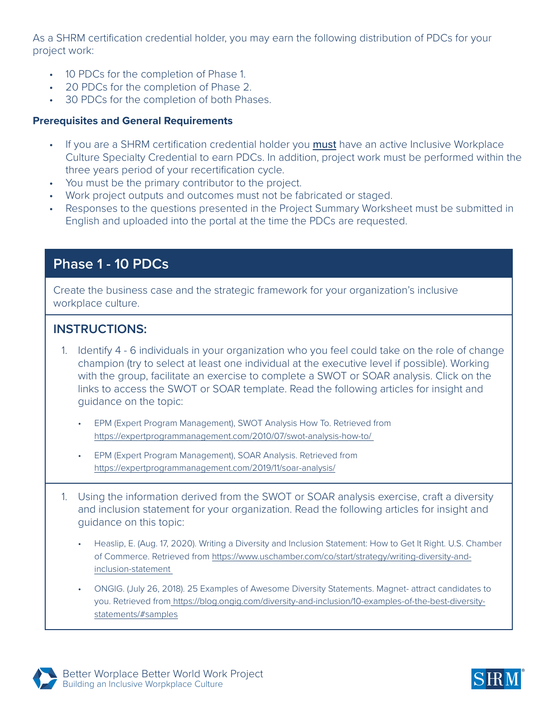As a SHRM certification credential holder, you may earn the following distribution of PDCs for your project work:

- 10 PDCs for the completion of Phase 1.
- 20 PDCs for the completion of Phase 2.
- 30 PDCs for the completion of both Phases.

#### **Prerequisites and General Requirements**

- If you are a SHRM certification credential holder you **must** have an active Inclusive Workplace Culture Specialty Credential to earn PDCs. In addition, project work must be performed within the three years period of your recertification cycle.
- You must be the primary contributor to the project.
- Work project outputs and outcomes must not be fabricated or staged.
- Responses to the questions presented in the Project Summary Worksheet must be submitted in English and uploaded into the portal at the time the PDCs are requested.

## **Phase 1 - 10 PDCs**

Create the business case and the strategic framework for your organization's inclusive workplace culture.

### **INSTRUCTIONS:**

- 1. Identify 4 6 individuals in your organization who you feel could take on the role of change champion (try to select at least one individual at the executive level if possible). Working with the group, facilitate an exercise to complete a SWOT or SOAR analysis. Click on the links to access the SWOT or SOAR template. Read the following articles for insight and guidance on the topic:
	- EPM (Expert Program Management), SWOT Analysis How To. Retrieved from <https://expertprogrammanagement.com/2010/07/swot-analysis-how-to/>
	- EPM (Expert Program Management), SOAR Analysis. Retrieved from <https://expertprogrammanagement.com/2019/11/soar-analysis/>
- 1. Using the information derived from the SWOT or SOAR analysis exercise, craft a diversity and inclusion statement for your organization. Read the following articles for insight and guidance on this topic:
	- Heaslip, E. (Aug. 17, 2020). Writing a Diversity and Inclusion Statement: How to Get It Right. U.S. Chamber of Commerce. Retrieved from [https://www.uschamber.com/co/start/strategy/writing-diversity-and](https://www.uschamber.com/co/start/strategy/writing-diversity-and-inclusion-statement)[inclusion-statement](https://www.uschamber.com/co/start/strategy/writing-diversity-and-inclusion-statement)
	- ONGIG. (July 26, 2018). 25 Examples of Awesome Diversity Statements. Magnet- attract candidates to you. Retrieved from [https://blog.ongig.com/diversity-and-inclusion/10-examples-of-the-best-diversity](https://blog.ongig.com/diversity-and-inclusion/10-examples-of-the-best-diversity-statements/#samples)[statements/#samples](https://blog.ongig.com/diversity-and-inclusion/10-examples-of-the-best-diversity-statements/#samples)



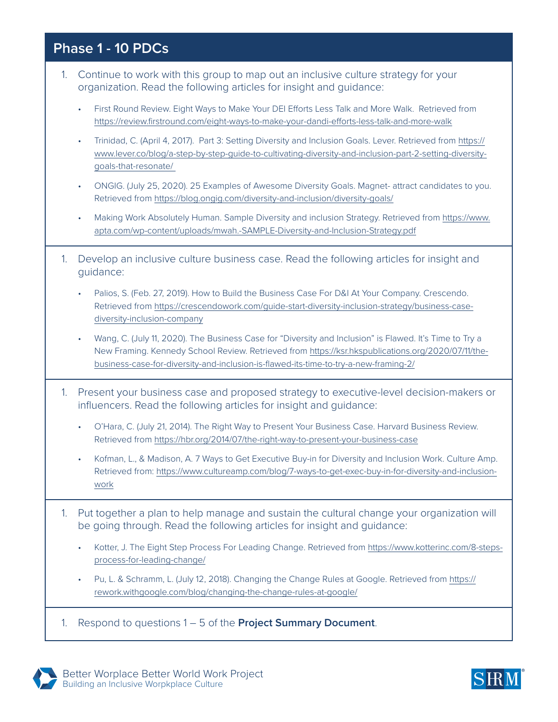## **Phase 1 - 10 PDCs**

- 1. Continue to work with this group to map out an inclusive culture strategy for your organization. Read the following articles for insight and guidance:
	- First Round Review. Eight Ways to Make Your DEI Efforts Less Talk and More Walk. Retrieved from <https://review.firstround.com/eight-ways-to-make-your-dandi-efforts-less-talk-and-more-walk>
	- Trinidad, C. (April 4, 2017). Part 3: Setting Diversity and Inclusion Goals. Lever. Retrieved from [https://](https://www.lever.co/blog/a-step-by-step-guide-to-cultivating-diversity-and-inclusion-part-2-setting-diversity-goals-that-resonate/) [www.lever.co/blog/a-step-by-step-guide-to-cultivating-diversity-and-inclusion-part-2-setting-diversity](https://www.lever.co/blog/a-step-by-step-guide-to-cultivating-diversity-and-inclusion-part-2-setting-diversity-goals-that-resonate/)[goals-that-resonate/](https://www.lever.co/blog/a-step-by-step-guide-to-cultivating-diversity-and-inclusion-part-2-setting-diversity-goals-that-resonate/)
	- ONGIG. (July 25, 2020). 25 Examples of Awesome Diversity Goals. Magnet- attract candidates to you. Retrieved from<https://blog.ongig.com/diversity-and-inclusion/diversity-goals/>
	- Making Work Absolutely Human. Sample Diversity and inclusion Strategy. Retrieved from [https://www.](https://www.apta.com/wp-content/uploads/mwah.-SAMPLE-Diversity-and-Inclusion-Strategy.pdf) [apta.com/wp-content/uploads/mwah.-SAMPLE-Diversity-and-Inclusion-Strategy.pdf](https://www.apta.com/wp-content/uploads/mwah.-SAMPLE-Diversity-and-Inclusion-Strategy.pdf)
- 1. Develop an inclusive culture business case. Read the following articles for insight and guidance:
	- Palios, S. (Feb. 27, 2019). How to Build the Business Case For D&I At Your Company. Crescendo. Retrieved from [https://crescendowork.com/guide-start-diversity-inclusion-strategy/business-case](https://crescendowork.com/guide-start-diversity-inclusion-strategy/business-case-diversity-inclusion-company)[diversity-inclusion-company](https://crescendowork.com/guide-start-diversity-inclusion-strategy/business-case-diversity-inclusion-company)
	- Wang, C. (July 11, 2020). The Business Case for "Diversity and Inclusion" is Flawed. It's Time to Try a New Framing. Kennedy School Review. Retrieved from [https://ksr.hkspublications.org/2020/07/11/the](https://ksr.hkspublications.org/2020/07/11/the-business-case-for-diversity-and-inclusion-is-flawed-its-time-to-try-a-new-framing-2/)[business-case-for-diversity-and-inclusion-is-flawed-its-time-to-try-a-new-framing-2/](https://ksr.hkspublications.org/2020/07/11/the-business-case-for-diversity-and-inclusion-is-flawed-its-time-to-try-a-new-framing-2/)
- 1. Present your business case and proposed strategy to executive-level decision-makers or influencers. Read the following articles for insight and guidance:
	- O'Hara, C. (July 21, 2014). The Right Way to Present Your Business Case. Harvard Business Review. Retrieved from<https://hbr.org/2014/07/the-right-way-to-present-your-business-case>
	- Kofman, L., & Madison, A. 7 Ways to Get Executive Buy-in for Diversity and Inclusion Work. Culture Amp. Retrieved from: [https://www.cultureamp.com/blog/7-ways-to-get-exec-buy-in-for-diversity-and-inclusion](https://www.cultureamp.com/blog/7-ways-to-get-exec-buy-in-for-diversity-and-inclusion-work)[work](https://www.cultureamp.com/blog/7-ways-to-get-exec-buy-in-for-diversity-and-inclusion-work)
- 1. Put together a plan to help manage and sustain the cultural change your organization will be going through. Read the following articles for insight and guidance:
	- Kotter, J. The Eight Step Process For Leading Change. Retrieved from [https://www.kotterinc.com/8-steps](https://www.kotterinc.com/8-steps-process-for-leading-change/)[process-for-leading-change/](https://www.kotterinc.com/8-steps-process-for-leading-change/)
	- Pu, L. & Schramm, L. (July 12, 2018). Changing the Change Rules at Google. Retrieved from [https://](https://rework.withgoogle.com/blog/changing-the-change-rules-at-google/) [rework.withgoogle.com/blog/changing-the-change-rules-at-google/](https://rework.withgoogle.com/blog/changing-the-change-rules-at-google/)
- 1. Respond to questions 1 5 of the **Project Summary Document**.